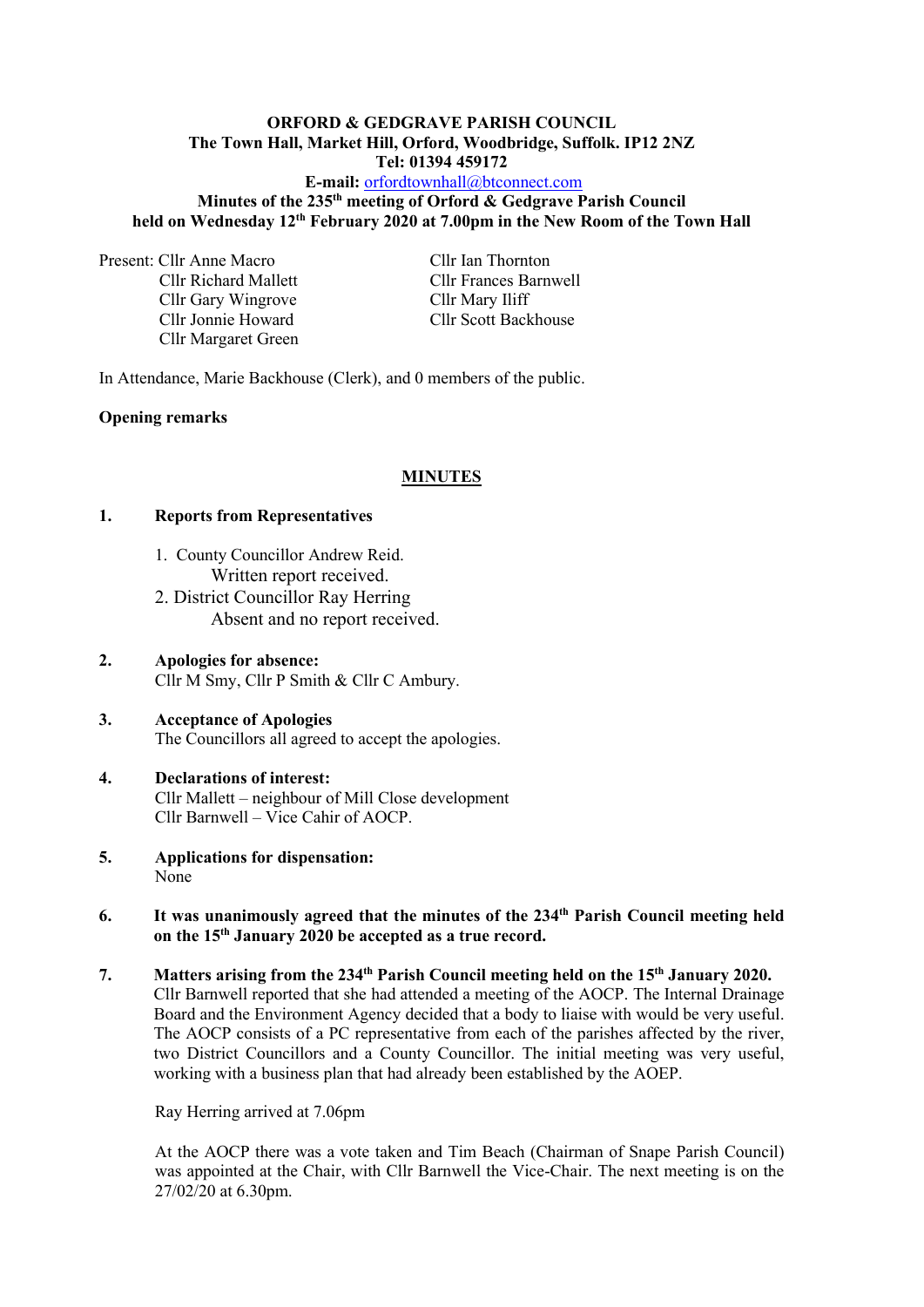#### **ORFORD & GEDGRAVE PARISH COUNCIL The Town Hall, Market Hill, Orford, Woodbridge, Suffolk. IP12 2NZ Tel: 01394 459172**

## **E-mail:** [orfordtownhall@btconnect.com](mailto:orfordtownhall@btconnect.com) **Minutes of the 235 th meeting of Orford & Gedgrave Parish Council held on Wednesday 12 th February 2020 at 7.00pm in the New Room of the Town Hall**

Present: Cllr Anne Macro Cllr Ian Thornton

Cllr Gary Wingrove Cllr Mary Iliff Cllr Jonnie Howard Cllr Scott Backhouse Cllr Margaret Green

Cllr Richard Mallett Cllr Frances Barnwell

In Attendance, Marie Backhouse (Clerk), and 0 members of the public.

## **Opening remarks**

## **MINUTES**

## **1. Reports from Representatives**

- 1. County Councillor Andrew Reid. Written report received.
- 2. District Councillor Ray Herring Absent and no report received.
- **2. Apologies for absence:** Cllr M Smy, Cllr P Smith & Cllr C Ambury.
- **3. Acceptance of Apologies** The Councillors all agreed to accept the apologies.

# **4. Declarations of interest:** Cllr Mallett – neighbour of Mill Close development Cllr Barnwell – Vice Cahir of AOCP.

**5. Applications for dispensation:** None

## **6. It was unanimously agreed that the minutes of the 234 th Parish Council meeting held on the 15 th January 2020 be accepted as a true record.**

**7. Matters arising from the 234 th Parish Council meeting held on the 15th January 2020.** Cllr Barnwell reported that she had attended a meeting of the AOCP. The Internal Drainage Board and the Environment Agency decided that a body to liaise with would be very useful. The AOCP consists of a PC representative from each of the parishes affected by the river, two District Councillors and a County Councillor. The initial meeting was very useful, working with a business plan that had already been established by the AOEP.

Ray Herring arrived at 7.06pm

At the AOCP there was a vote taken and Tim Beach (Chairman of Snape Parish Council) was appointed at the Chair, with Cllr Barnwell the Vice-Chair. The next meeting is on the 27/02/20 at 6.30pm.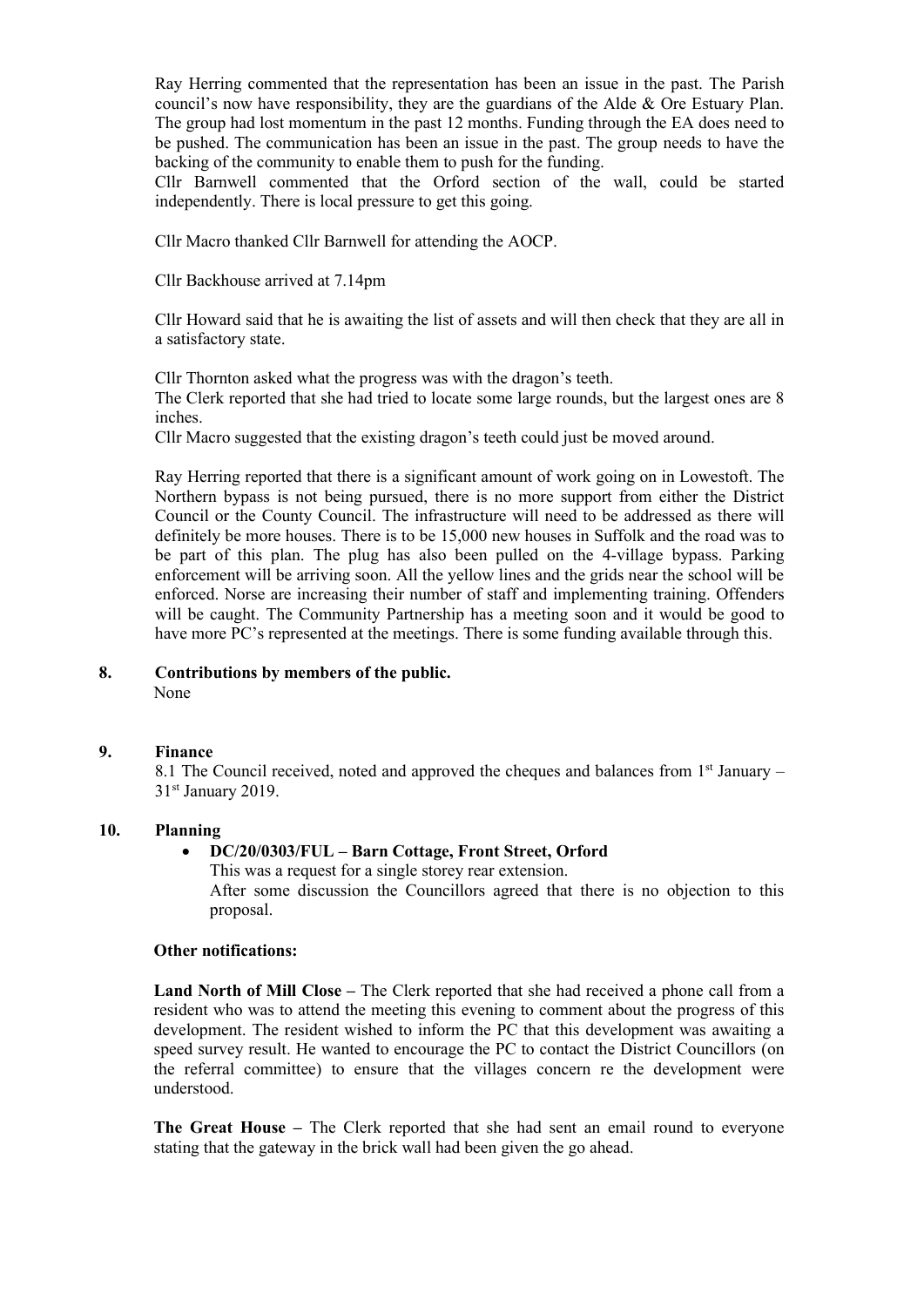Ray Herring commented that the representation has been an issue in the past. The Parish council's now have responsibility, they are the guardians of the Alde & Ore Estuary Plan. The group had lost momentum in the past 12 months. Funding through the EA does need to be pushed. The communication has been an issue in the past. The group needs to have the backing of the community to enable them to push for the funding.

Cllr Barnwell commented that the Orford section of the wall, could be started independently. There is local pressure to get this going.

Cllr Macro thanked Cllr Barnwell for attending the AOCP.

Cllr Backhouse arrived at 7.14pm

Cllr Howard said that he is awaiting the list of assets and will then check that they are all in a satisfactory state.

Cllr Thornton asked what the progress was with the dragon's teeth. The Clerk reported that she had tried to locate some large rounds, but the largest ones are 8 inches.

Cllr Macro suggested that the existing dragon's teeth could just be moved around.

Ray Herring reported that there is a significant amount of work going on in Lowestoft. The Northern bypass is not being pursued, there is no more support from either the District Council or the County Council. The infrastructure will need to be addressed as there will definitely be more houses. There is to be 15,000 new houses in Suffolk and the road was to be part of this plan. The plug has also been pulled on the 4-village bypass. Parking enforcement will be arriving soon. All the yellow lines and the grids near the school will be enforced. Norse are increasing their number of staff and implementing training. Offenders will be caught. The Community Partnership has a meeting soon and it would be good to have more PC's represented at the meetings. There is some funding available through this.

#### **8. Contributions by members of the public.** None

## **9. Finance**

8.1 The Council received, noted and approved the cheques and balances from 1<sup>st</sup> January -31<sup>st</sup> January 2019.

## **10. Planning**

#### • **DC/20/0303/FUL – Barn Cottage, Front Street, Orford**

This was a request for a single storey rear extension. After some discussion the Councillors agreed that there is no objection to this proposal.

#### **Other notifications:**

**Land North of Mill Close –** The Clerk reported that she had received a phone call from a resident who was to attend the meeting this evening to comment about the progress of this development. The resident wished to inform the PC that this development was awaiting a speed survey result. He wanted to encourage the PC to contact the District Councillors (on the referral committee) to ensure that the villages concern re the development were understood.

The Great House – The Clerk reported that she had sent an email round to everyone stating that the gateway in the brick wall had been given the go ahead.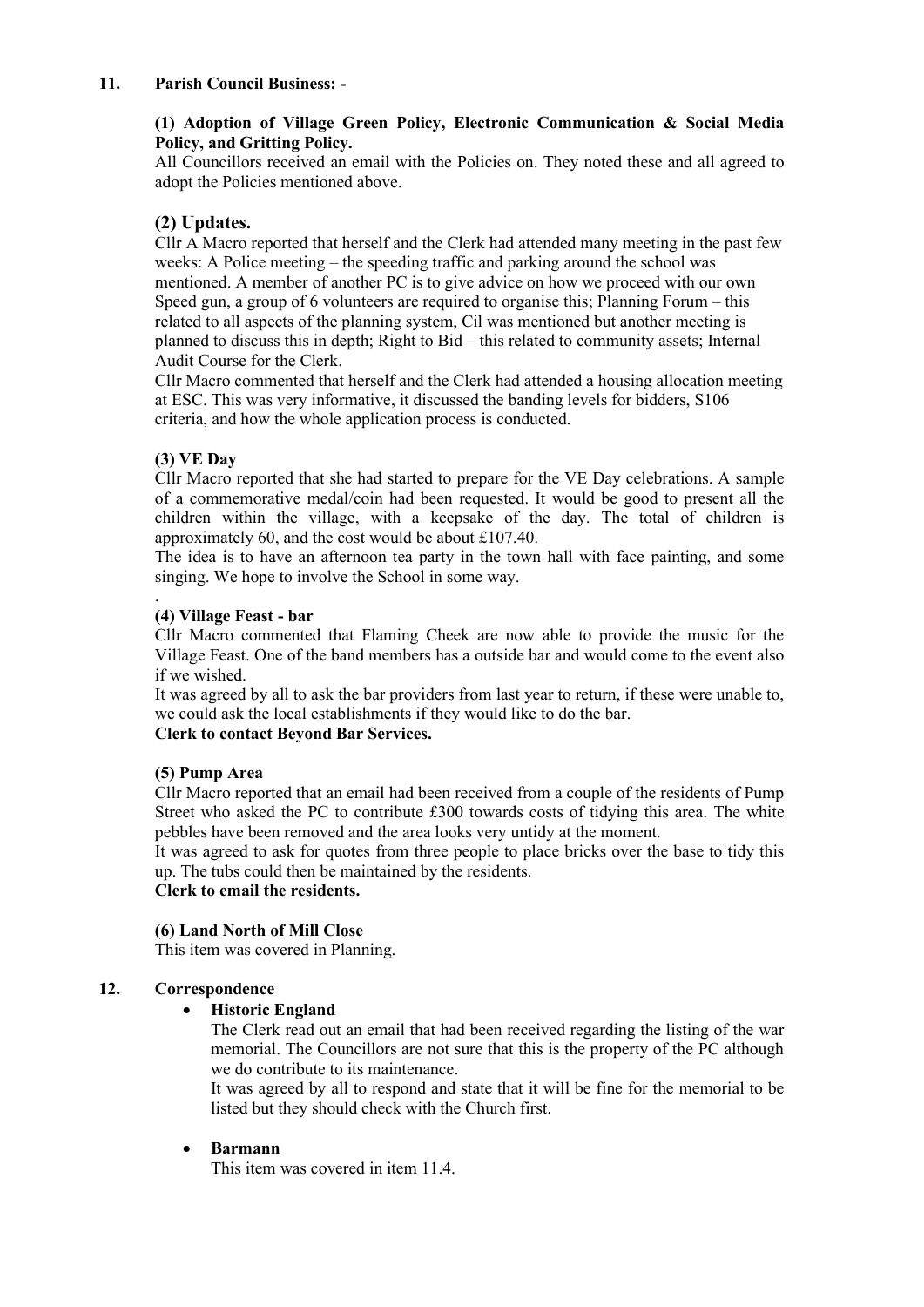## **11. Parish Council Business: -**

## **(1) Adoption of Village Green Policy, Electronic Communication & Social Media Policy, and Gritting Policy.**

All Councillors received an email with the Policies on. They noted these and all agreed to adopt the Policies mentioned above.

# **(2) Updates.**

Cllr A Macro reported that herself and the Clerk had attended many meeting in the past few weeks: A Police meeting – the speeding traffic and parking around the school was mentioned. A member of another PC is to give advice on how we proceed with our own Speed gun, a group of 6 volunteers are required to organise this; Planning Forum – this related to all aspects of the planning system, Cil was mentioned but another meeting is planned to discuss this in depth; Right to Bid – this related to community assets; Internal Audit Course for the Clerk.

Cllr Macro commented that herself and the Clerk had attended a housing allocation meeting at ESC. This was very informative, it discussed the banding levels for bidders, S106 criteria, and how the whole application process is conducted.

## **(3) VE Day**

.

Cllr Macro reported that she had started to prepare for the VE Day celebrations. A sample of a commemorative medal/coin had been requested. It would be good to present all the children within the village, with a keepsake of the day. The total of children is approximately 60, and the cost would be about £107.40.

The idea is to have an afternoon tea party in the town hall with face painting, and some singing. We hope to involve the School in some way.

## **(4) Village Feast - bar**

Cllr Macro commented that Flaming Cheek are now able to provide the music for the Village Feast. One of the band members has a outside bar and would come to the event also if we wished.

It was agreed by all to ask the bar providers from last year to return, if these were unable to, we could ask the local establishments if they would like to do the bar.

## **Clerk to contact Beyond Bar Services.**

## **(5) Pump Area**

Cllr Macro reported that an email had been received from a couple of the residents of Pump Street who asked the PC to contribute £300 towards costs of tidying this area. The white pebbles have been removed and the area looks very untidy at the moment.

It was agreed to ask for quotes from three people to place bricks over the base to tidy this up. The tubs could then be maintained by the residents.

## **Clerk to email the residents.**

## **(6) Land North of Mill Close**

This item was covered in Planning.

## **12. Correspondence**

## • **Historic England**

The Clerk read out an email that had been received regarding the listing of the war memorial. The Councillors are not sure that this is the property of the PC although we do contribute to its maintenance.

It was agreed by all to respond and state that it will be fine for the memorial to be listed but they should check with the Church first.

## • **Barmann**

This item was covered in item 11.4.